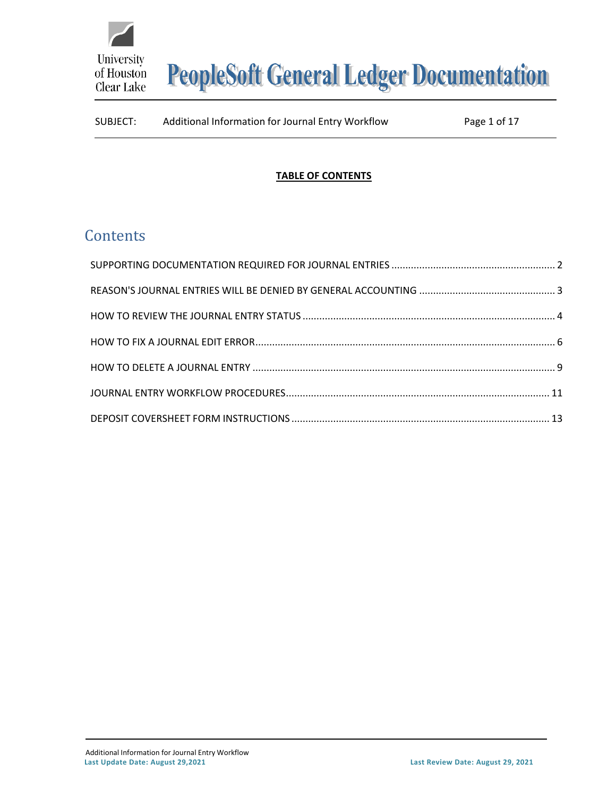

#### **TABLE OF CONTENTS**

# **Contents**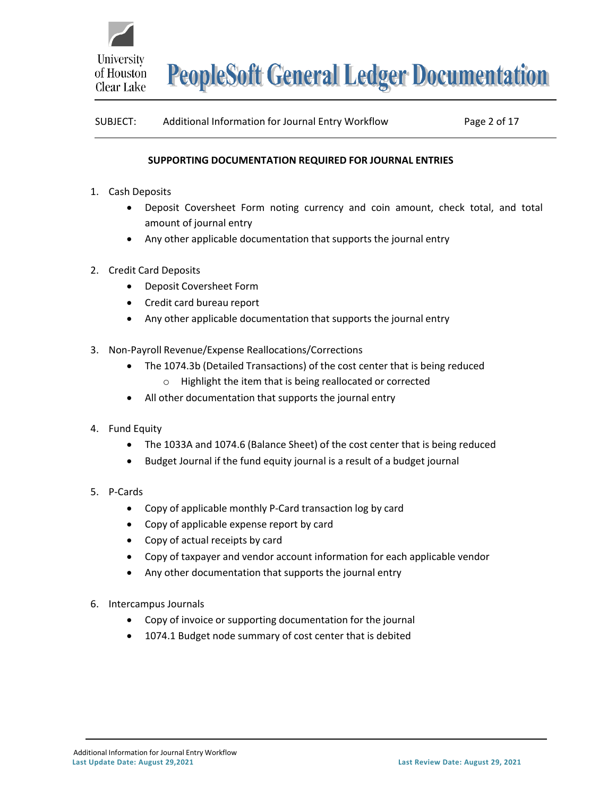

| SUBJECT: | Additional Information for Journal Entry Workflow | Page 2 of 17 |
|----------|---------------------------------------------------|--------------|
|----------|---------------------------------------------------|--------------|

#### **SUPPORTING DOCUMENTATION REQUIRED FOR JOURNAL ENTRIES**

- <span id="page-1-0"></span>1. Cash Deposits
	- Deposit Coversheet Form noting currency and coin amount, check total, and total amount of journal entry
	- Any other applicable documentation that supports the journal entry
- 2. Credit Card Deposits
	- Deposit Coversheet Form
	- Credit card bureau report
	- Any other applicable documentation that supports the journal entry
- 3. Non-Payroll Revenue/Expense Reallocations/Corrections
	- The 1074.3b (Detailed Transactions) of the cost center that is being reduced o Highlight the item that is being reallocated or corrected
	- All other documentation that supports the journal entry
- 4. Fund Equity
	- The 1033A and 1074.6 (Balance Sheet) of the cost center that is being reduced
	- Budget Journal if the fund equity journal is a result of a budget journal
- 5. P-Cards
	- Copy of applicable monthly P-Card transaction log by card
	- Copy of applicable expense report by card
	- Copy of actual receipts by card
	- Copy of taxpayer and vendor account information for each applicable vendor
	- Any other documentation that supports the journal entry
- 6. Intercampus Journals
	- Copy of invoice or supporting documentation for the journal
	- 1074.1 Budget node summary of cost center that is debited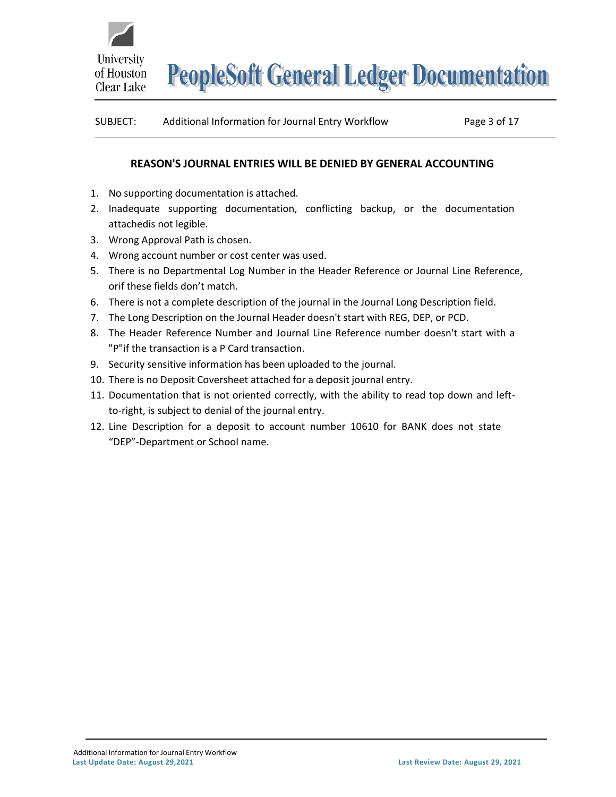

| SUBJECT: | Additional Information for Journal Entry Workflow | Page 3 of 17 |
|----------|---------------------------------------------------|--------------|
|----------|---------------------------------------------------|--------------|

#### **REASON'S JOURNAL ENTRIES WILL BE DENIED BY GENERAL ACCOUNTING**

- <span id="page-2-0"></span>1. No supporting documentation is attached.
- 2. Inadequate supporting documentation, conflicting backup, or the documentation attachedis not legible.
- 3. Wrong Approval Path is chosen.
- 4. Wrong account number or cost center was used.
- 5. There is no Departmental Log Number in the Header Reference or Journal Line Reference, orif these fields don't match.
- 6. There is not a complete description of the journal in the Journal Long Description field.
- 7. The Long Description on the Journal Header doesn't start with REG, DEP, or PCD.
- 8. The Header Reference Number and Journal Line Reference number doesn't start with a "P"if the transaction is a P Card transaction.
- 9. Security sensitive information has been uploaded to the journal.
- 10. There is no Deposit Coversheet attached for a deposit journal entry.
- 11. Documentation that is not oriented correctly, with the ability to read top down and leftto-right, is subject to denial of the journal entry.
- 12. Line Description for a deposit to account number 10610 for BANK does not state "DEP"-Department or School name.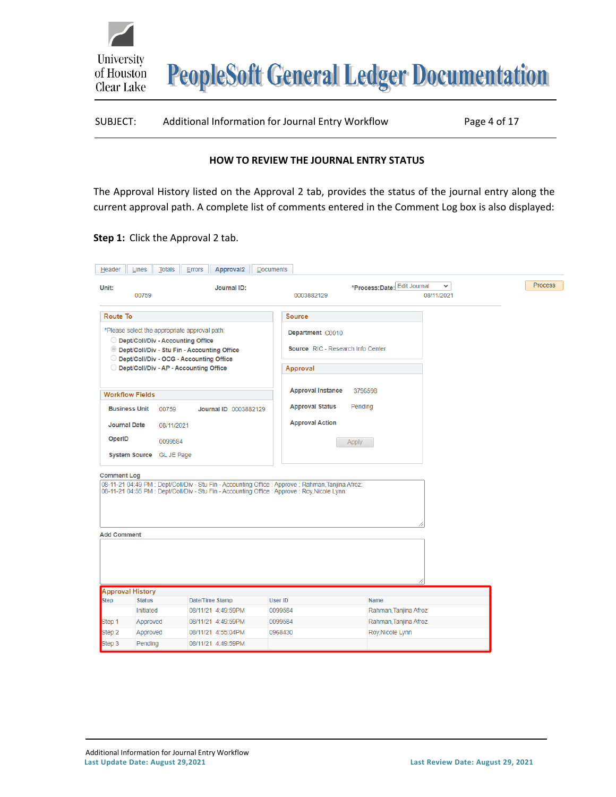| SUBJECT: | Additional Information for Journal Entry Workflow | Page 4 of 17 |
|----------|---------------------------------------------------|--------------|
|----------|---------------------------------------------------|--------------|

#### **HOW TO REVIEW THE JOURNAL ENTRY STATUS**

<span id="page-3-0"></span>The Approval History listed on the Approval 2 tab, provides the status of the journal entry along the current approval path. A complete list of comments entered in the Comment Log box is also displayed:

#### **Step 1:** Click the Approval 2 tab.

University

of Houston Clear Lake

| Header                          |                         |                                                                                      |                                                                                                                                                                                                     |                    |                                                       |                                           |                            |                |
|---------------------------------|-------------------------|--------------------------------------------------------------------------------------|-----------------------------------------------------------------------------------------------------------------------------------------------------------------------------------------------------|--------------------|-------------------------------------------------------|-------------------------------------------|----------------------------|----------------|
| Unit:                           | 00759                   |                                                                                      | Journal ID:                                                                                                                                                                                         |                    | 0003882129                                            | *Process: Date: Edit Journal              | $\checkmark$<br>08/11/2021 | <b>Process</b> |
| Route To                        |                         |                                                                                      |                                                                                                                                                                                                     |                    | <b>Source</b>                                         |                                           |                            |                |
|                                 |                         | *Please select the appropriate approval path:<br>O Dept/Coll/Div - Accounting Office | © Dept/Coll/Div - Stu Fin - Accounting Office<br>O Dept/Coll/Div - OCG - Accounting Office                                                                                                          |                    | Department C0010<br>Source RIC - Research Info Center |                                           |                            |                |
|                                 |                         | O Dept/Coll/Div - AP - Accounting Office                                             |                                                                                                                                                                                                     |                    | Approval                                              |                                           |                            |                |
|                                 | <b>Workflow Fields</b>  |                                                                                      |                                                                                                                                                                                                     |                    | <b>Approval Instance</b>                              | 3796598                                   |                            |                |
|                                 | <b>Business Unit</b>    | 00759                                                                                | Journal ID 0003882129                                                                                                                                                                               |                    | <b>Approval Status</b>                                | Pending                                   |                            |                |
|                                 | <b>Journal Date</b>     | 08/11/2021                                                                           |                                                                                                                                                                                                     |                    | <b>Approval Action</b>                                |                                           |                            |                |
| OperID                          |                         | 0099584                                                                              |                                                                                                                                                                                                     |                    |                                                       | Apply                                     |                            |                |
|                                 |                         | System Source GL JE Page                                                             |                                                                                                                                                                                                     |                    |                                                       |                                           |                            |                |
| <b>Comment Log</b>              |                         |                                                                                      |                                                                                                                                                                                                     |                    |                                                       |                                           |                            |                |
|                                 |                         |                                                                                      | 08-11-21 04:49 PM : Dept/Coll/Div - Stu Fin - Accounting Office : Approve : Rahman, Tanjina Afroz:<br>08-11-21 04:55 PM : Dept/Coll/Div - Stu Fin - Accounting Office : Approve : Roy, Nicole Lynn: |                    |                                                       |                                           |                            |                |
| <b>Add Comment</b>              |                         |                                                                                      |                                                                                                                                                                                                     |                    |                                                       |                                           |                            |                |
|                                 |                         |                                                                                      |                                                                                                                                                                                                     |                    |                                                       |                                           |                            |                |
|                                 |                         |                                                                                      |                                                                                                                                                                                                     |                    |                                                       |                                           |                            |                |
|                                 | <b>Approval History</b> |                                                                                      |                                                                                                                                                                                                     |                    |                                                       |                                           |                            |                |
|                                 | <b>Status</b>           |                                                                                      | Date/Time Stamp                                                                                                                                                                                     | <b>User ID</b>     |                                                       | <b>Name</b>                               |                            |                |
|                                 | Initiated               |                                                                                      | 08/11/21 4:49:59PM                                                                                                                                                                                  | 0099584            |                                                       | Rahman, Tanjina Afroz                     |                            |                |
| <b>Step</b><br>Step 1<br>Step 2 | Approved<br>Approved    |                                                                                      | 08/11/21 4:49:59PM<br>08/11/21 4:55:04PM                                                                                                                                                            | 0099584<br>0968430 |                                                       | Rahman, Tanjina Afroz<br>Roy, Nicole Lynn |                            |                |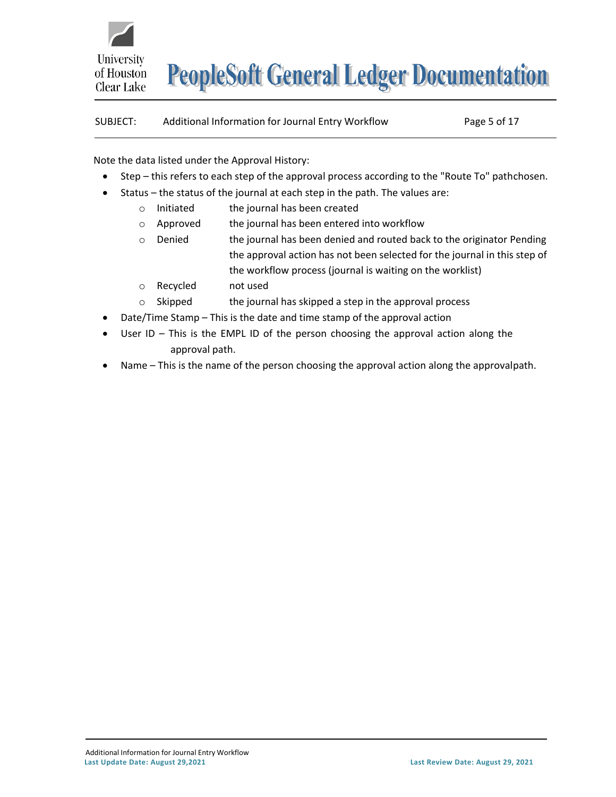

# SUBJECT: Additional Information for Journal Entry Workflow Page 5 of 17

Note the data listed under the Approval History:

- Step this refers to each step of the approval process according to the "Route To" pathchosen.
- Status the status of the journal at each step in the path. The values are:
	- $\circ$  Initiated the journal has been created
	- $\circ$  Approved the journal has been entered into workflow
	- $\circ$  Denied the journal has been denied and routed back to the originator Pending the approval action has not been selected for the journal in this step of the workflow process (journal is waiting on the worklist)
	- o Recycled not used
	- $\circ$  Skipped the journal has skipped a step in the approval process
- Date/Time Stamp This is the date and time stamp of the approval action
- User  $ID$  This is the EMPL ID of the person choosing the approval action along the approval path.
- Name This is the name of the person choosing the approval action along the approvalpath.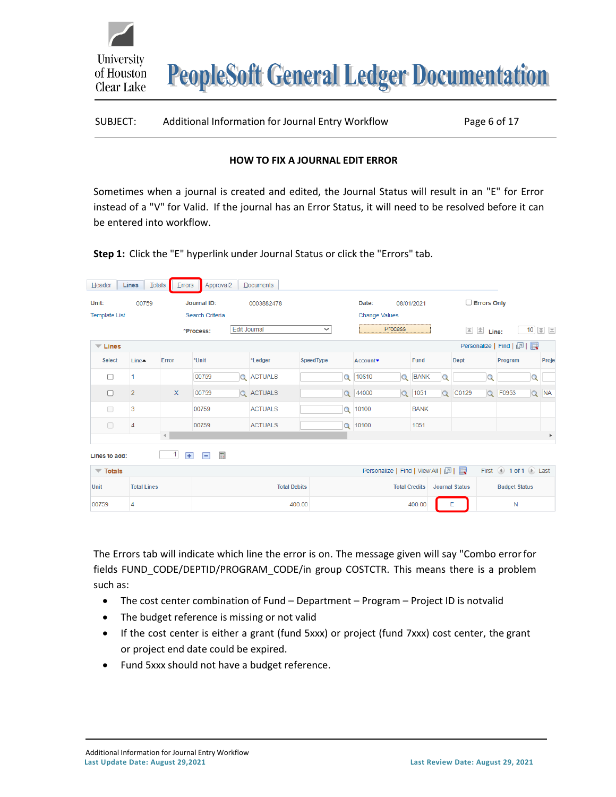| SUBJECT: | Additional Information for Journal Entry Workflow | Page 6 of 17 |
|----------|---------------------------------------------------|--------------|
|          |                                                   |              |

#### **HOW TO FIX A JOURNAL EDIT ERROR**

<span id="page-5-0"></span>Sometimes when a journal is created and edited, the Journal Status will result in an "E" for Error instead of a "V" for Valid. If the journal has an Error Status, it will need to be resolved before it can be entered into workflow.

**Step 1:** Click the "E" hyperlink under Journal Status or click the "Errors" tab.

University

of Houston Clear Lake

| Header                          | Lines                              | Totals<br>Errors     | Approval <sub>2</sub>         | <b>Documents</b>     |              |                                               |                    |             |          |                                             |                      |                        |          |                                    |
|---------------------------------|------------------------------------|----------------------|-------------------------------|----------------------|--------------|-----------------------------------------------|--------------------|-------------|----------|---------------------------------------------|----------------------|------------------------|----------|------------------------------------|
| Unit:                           | Journal ID:<br>00759<br>0003882478 |                      |                               |                      |              | Date:                                         | $\Box$ Errors Only |             |          |                                             |                      |                        |          |                                    |
| <b>Template List</b>            |                                    | Search Criteria      |                               | <b>Change Values</b> |              |                                               |                    |             |          |                                             |                      |                        |          |                                    |
|                                 |                                    |                      | *Process:                     | <b>Edit Journal</b>  | $\checkmark$ |                                               | <b>Process</b>     |             |          | $\overline{=}$ $\overline{\triangle}$ Line: |                      |                        |          | $10$ $\overline{z}$ $\overline{z}$ |
| $\overline{\phantom{a}}$ Lines  |                                    |                      |                               |                      |              |                                               |                    |             |          |                                             |                      | Personalize   Find   2 |          |                                    |
| <b>Select</b>                   | $Line -$                           | Error                | *Unit                         | *Ledger              | SpeedType    | Account▼                                      |                    | <b>Fund</b> |          | Dept                                        |                      | Program                |          | Proje                              |
| П                               |                                    |                      | 00759<br>$\Omega$             | <b>ACTUALS</b>       | $\Omega$     | 10610                                         | $\alpha$           | <b>BANK</b> |          |                                             | Q                    |                        | Q        |                                    |
| П                               | $\overline{2}$                     | $\mathsf{x}$         | 00759                         | <b>Q</b> ACTUALS     | $\alpha$     | 44000                                         | $\alpha$           | 1051        | $\alpha$ | C0129                                       | $\alpha$             | F0953                  | $\alpha$ | <b>NA</b>                          |
| □                               | 3                                  |                      | 00759                         | <b>ACTUALS</b>       | $\alpha$     | 10100                                         |                    | <b>BANK</b> |          |                                             |                      |                        |          |                                    |
| $\Box$                          | 4                                  |                      | 00759                         | <b>ACTUALS</b>       |              | Q 10100                                       |                    | 1051        |          |                                             |                      |                        |          |                                    |
|                                 |                                    | $\blacktriangleleft$ |                               |                      |              |                                               |                    |             |          |                                             |                      |                        |          | Þ                                  |
| Lines to add:                   |                                    | 1<br>$\pm$           | 冊<br>$\overline{\phantom{0}}$ |                      |              |                                               |                    |             |          |                                             |                      |                        |          |                                    |
| $\overline{\phantom{a}}$ Totals |                                    |                      |                               |                      |              | Personalize   Find   View All   2             |                    |             |          |                                             |                      | First 4 1 of 1 D Last  |          |                                    |
| <b>Unit</b>                     | <b>Total Lines</b>                 |                      |                               | <b>Total Debits</b>  |              | <b>Total Credits</b><br><b>Journal Status</b> |                    |             |          |                                             | <b>Budget Status</b> |                        |          |                                    |
| 00759                           | 4                                  |                      |                               |                      | 400.00       | 400.00                                        |                    |             | Е        |                                             |                      | N                      |          |                                    |

The Errors tab will indicate which line the error is on. The message given will say "Combo errorfor fields FUND\_CODE/DEPTID/PROGRAM\_CODE/in group COSTCTR. This means there is a problem such as:

- The cost center combination of Fund Department Program Project ID is notvalid
- The budget reference is missing or not valid
- If the cost center is either a grant (fund 5xxx) or project (fund 7xxx) cost center, the grant or project end date could be expired.
- Fund 5xxx should not have a budget reference.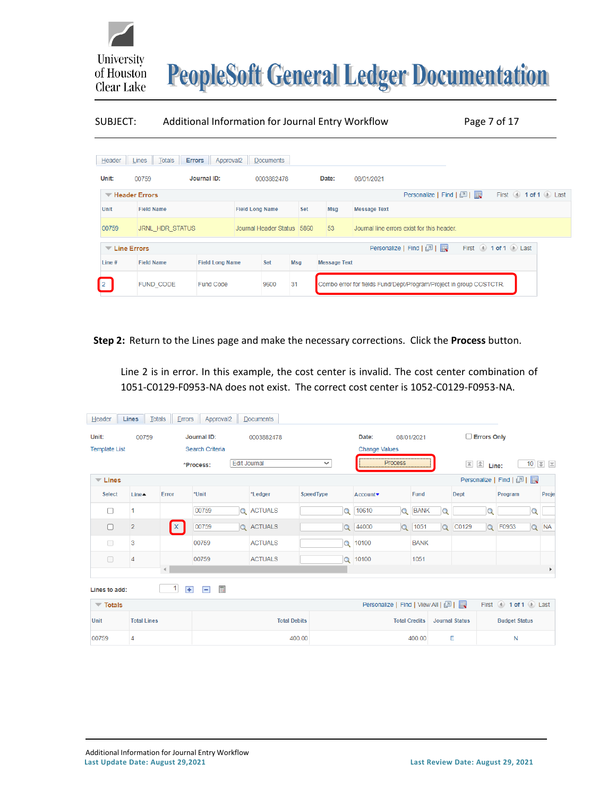

#### SUBJECT: Additional Information for Journal Entry Workflow Page 7 of 17

|                                      | $H$ eader $L$ Lines $T$ otals | <b>Errors</b> Approval2 |  | <b>Documents</b>           |     |                                                  |                     |                                                                    |  |                                   |                       |
|--------------------------------------|-------------------------------|-------------------------|--|----------------------------|-----|--------------------------------------------------|---------------------|--------------------------------------------------------------------|--|-----------------------------------|-----------------------|
| Unit:                                | 00759                         | Journal ID:             |  | 0003882478                 |     |                                                  | Date:               | 08/01/2021                                                         |  |                                   |                       |
| Header Errors                        |                               |                         |  |                            |     |                                                  |                     | Personalize   Find   2                                             |  |                                   | First 4 1 of 1 D Last |
| Unit                                 | <b>Field Name</b>             | <b>Field Long Name</b>  |  | Set                        |     | Msg                                              | <b>Message Text</b> |                                                                    |  |                                   |                       |
| 00759                                | JRNL HDR STATUS               |                         |  | Journal Header Status 5860 |     | 53<br>Journal line errors exist for this header. |                     |                                                                    |  |                                   |                       |
| $\overline{\phantom{a}}$ Line Errors |                               |                         |  |                            |     |                                                  |                     | Personalize   Find   2                                             |  | First $\lnot$ 1 of 1 $\lnot$ Last |                       |
| Line #                               | <b>Field Name</b>             | <b>Field Long Name</b>  |  | Set                        | Msg |                                                  | <b>Message Text</b> |                                                                    |  |                                   |                       |
| $\sqrt{2}$                           | FUND CODE                     | <b>Fund Code</b>        |  | 9600                       | 31  |                                                  |                     | Combo error for fields Fund/Dept/Program/Project in group COSTCTR. |  |                                   |                       |

**Step 2:** Return to the Lines page and make the necessary corrections. Click the **Process** button.

Line 2 is in error. In this example, the cost center is invalid. The cost center combination of 1051-C0129-F0953-NA does not exist. The correct cost center is 1052-C0129-F0953-NA.

| Header                          | <b>Lines</b><br>Totals | $E$ rrors            | Approval <sub>2</sub> | <b>Documents</b>    |                  |                                   |          |             |          |                                     |                      |                        |          |                                    |
|---------------------------------|------------------------|----------------------|-----------------------|---------------------|------------------|-----------------------------------|----------|-------------|----------|-------------------------------------|----------------------|------------------------|----------|------------------------------------|
| Unit:                           | 00759                  |                      | Journal ID:           | 0003882478          |                  | Date:                             |          | 08/01/2021  |          | $\Box$ Errors Only                  |                      |                        |          |                                    |
| <b>Template List</b>            |                        |                      | Search Criteria       |                     |                  | <b>Change Values</b>              |          |             |          |                                     |                      |                        |          |                                    |
|                                 |                        |                      | *Process:             | <b>Edit Journal</b> | $\checkmark$     |                                   | Process  |             |          | $\overline{2}$ $\overline{2}$ Line: |                      |                        |          | $10$ $\overline{z}$ $\overline{z}$ |
| $\overline{\phantom{a}}$ Lines  |                        |                      |                       |                     |                  |                                   |          |             |          |                                     |                      | Personalize   Find   2 |          |                                    |
| <b>Select</b>                   | <b>Line▲</b>           | Error                | *Unit                 | *Ledger             | <b>SpeedType</b> | Account <sup>*</sup>              |          | <b>Fund</b> |          | <b>Dept</b>                         |                      | Program                |          | Proje                              |
| □                               | 1                      |                      | 00759                 | <b>Q</b> ACTUALS    | $\Omega$         | 10610                             | $\circ$  | <b>BANK</b> |          |                                     | $\Omega$             |                        |          |                                    |
| $\Box$                          | $\overline{2}$         | $\mathbf{x}$         | 00759                 | Q ACTUALS           | $\alpha$         | 44000                             | $\alpha$ | 1051        | $\alpha$ | C0129                               | $\alpha$             | F0953                  | $\alpha$ | <b>NA</b>                          |
| $\Box$                          | 3                      |                      | 00759                 | <b>ACTUALS</b>      | $\alpha$         | 10100                             |          | <b>BANK</b> |          |                                     |                      |                        |          |                                    |
| $\Box$                          | $\overline{4}$         |                      | 00759                 | <b>ACTUALS</b>      |                  | Q 10100                           |          | 1051        |          |                                     |                      |                        |          |                                    |
|                                 |                        | $\blacktriangleleft$ |                       |                     |                  |                                   |          |             |          |                                     |                      |                        |          | $\mathbf{r}$                       |
| Lines to add:                   |                        | $\mathbf{1}$<br>$+$  | 圃<br>$\vert - \vert$  |                     |                  |                                   |          |             |          |                                     |                      |                        |          |                                    |
| $\overline{\phantom{a}}$ Totals |                        |                      |                       |                     |                  | Personalize   Find   View All   2 |          |             |          |                                     |                      | First 1 of 1 D Last    |          |                                    |
| <b>Unit</b>                     | <b>Total Lines</b>     |                      |                       | <b>Total Debits</b> |                  | <b>Total Credits</b>              |          |             |          | <b>Journal Status</b>               | <b>Budget Status</b> |                        |          |                                    |
| 00759                           | 4                      |                      |                       | 400.00              |                  |                                   |          | 400.00      |          | E                                   |                      | N                      |          |                                    |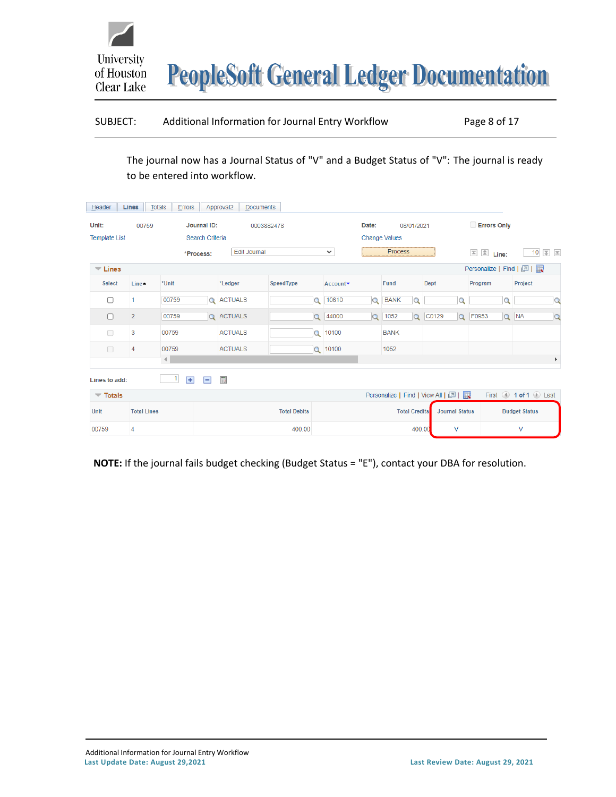| SUBJECT: | Additional Information for Journal Entry Workflow | Page 8 of 17 |
|----------|---------------------------------------------------|--------------|
|----------|---------------------------------------------------|--------------|

The journal now has a Journal Status of "V" and a Budget Status of "V": The journal is ready to be entered into workflow.

| Header                          | Totals<br><b>Lines</b> | $E$ rrors                      |                 | Approval <sub>2</sub><br><b>Documents</b> |                     |                   |          |                                               |                      |                                   |                       |                        |          |                       |                       |
|---------------------------------|------------------------|--------------------------------|-----------------|-------------------------------------------|---------------------|-------------------|----------|-----------------------------------------------|----------------------|-----------------------------------|-----------------------|------------------------|----------|-----------------------|-----------------------|
| Unit:                           | 00759                  |                                | Journal ID:     |                                           | 0003882478          |                   | Date:    |                                               | 08/01/2021           |                                   |                       | <b>Errors Only</b>     |          |                       |                       |
| <b>Template List</b>            |                        |                                | Search Criteria |                                           |                     |                   |          | <b>Change Values</b>                          |                      |                                   |                       |                        |          |                       |                       |
|                                 | <b>Edit Journal</b>    | $\checkmark$                   |                 | <b>Process</b>                            |                     |                   |          | $\boxed{\triangle}$ $\boxed{\triangle}$ Line: |                      | 10 $\overline{z}$ $\overline{z}$  |                       |                        |          |                       |                       |
| $\overline{\phantom{a}}$ Lines  |                        |                                |                 |                                           |                     |                   |          |                                               |                      |                                   |                       | Personalize   Find   2 |          |                       |                       |
| <b>Select</b>                   | <b>Line</b> ▲          | *Unit                          |                 | *Ledger                                   | SpeedType           | Account▼          |          | Fund                                          |                      | <b>Dept</b>                       |                       | Program                |          | Project               |                       |
| □                               | 1                      | 00759                          |                 | Q ACTUALS                                 |                     | 10610<br>$\Omega$ | Q        | <b>BANK</b>                                   | ∩                    |                                   | O                     |                        | $\Omega$ |                       | $\Omega$              |
| П                               | $\overline{c}$         | 00759                          |                 | <b>Q</b> ACTUALS                          |                     | 44000<br>$\alpha$ | $\alpha$ | 1052                                          | $\alpha$             | C0129                             |                       | Q F0953                |          | Q NA                  | $\alpha$              |
| $\Box$                          | 3                      | 00759                          |                 | <b>ACTUALS</b>                            |                     | $Q$ 10100         |          | <b>BANK</b>                                   |                      |                                   |                       |                        |          |                       |                       |
| $\Box$                          | 4                      | 00759                          |                 | <b>ACTUALS</b>                            |                     | Q 10100           |          | 1052                                          |                      |                                   |                       |                        |          |                       |                       |
|                                 |                        | $\left\langle 1 \right\rangle$ |                 |                                           |                     |                   |          |                                               |                      |                                   |                       |                        |          |                       | $\blacktriangleright$ |
| Lines to add:                   |                        | $\mathbf{1}$<br>$+$            | $\overline{ }$  | 圃                                         |                     |                   |          |                                               |                      |                                   |                       |                        |          |                       |                       |
| $\overline{\phantom{a}}$ Totals |                        |                                |                 |                                           |                     |                   |          |                                               |                      | Personalize   Find   View All   2 |                       |                        |          | First 4 1 of 1 D Last |                       |
| Unit                            | <b>Total Lines</b>     |                                |                 |                                           | <b>Total Debits</b> |                   |          |                                               | <b>Total Credits</b> |                                   | <b>Journal Status</b> |                        |          | <b>Budget Status</b>  |                       |
| 00759                           | 4                      |                                |                 |                                           | 400.00              |                   |          |                                               | 400.00               |                                   | V                     |                        |          | V                     |                       |

**NOTE:** If the journal fails budget checking (Budget Status = "E"), contact your DBA for resolution.

University

of Houston Clear Lake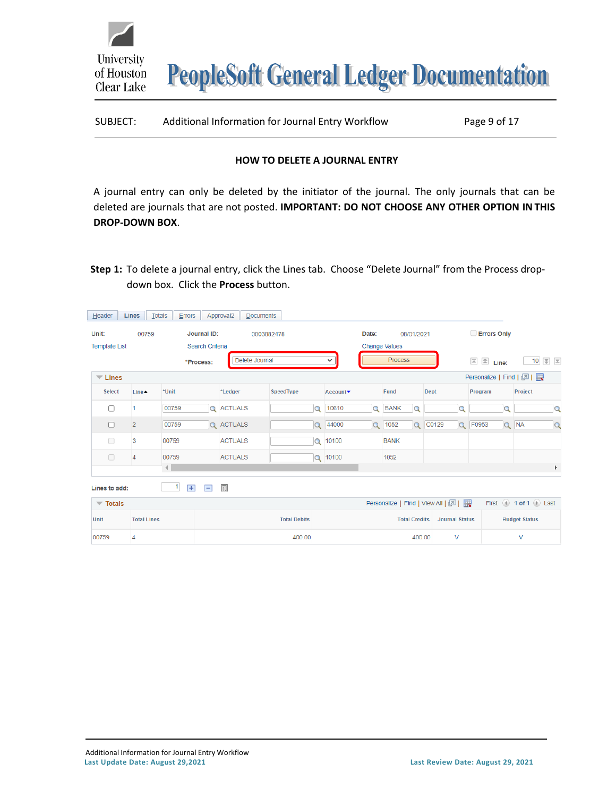| Additional Information for Journal Entry Workflow<br>SUBJECT: | Page 9 of 17 |
|---------------------------------------------------------------|--------------|
|---------------------------------------------------------------|--------------|

#### **HOW TO DELETE A JOURNAL ENTRY**

<span id="page-8-0"></span>A journal entry can only be deleted by the initiator of the journal. The only journals that can be deleted are journals that are not posted. **IMPORTANT: DO NOT CHOOSE ANY OTHER OPTION IN THIS DROP-DOWN BOX**.

**Step 1:** To delete a journal entry, click the Lines tab. Choose "Delete Journal" from the Process dropdown box. Click the **Process** button.

| Header                          |                | Lines Totals |            |                          |                  | <b>Errors</b> Approval2 Documents |                     |                   |          |                                   |            |                              |          |                                |                                         |                                  |
|---------------------------------|----------------|--------------|------------|--------------------------|------------------|-----------------------------------|---------------------|-------------------|----------|-----------------------------------|------------|------------------------------|----------|--------------------------------|-----------------------------------------|----------------------------------|
| Unit:                           |                | 00759        |            | Journal ID:              |                  | 0003882478                        |                     |                   | Date:    |                                   | 08/01/2021 |                              |          | <b>Errors Only</b>             |                                         |                                  |
| <b>Template List</b>            |                |              |            | Search Criteria          |                  |                                   |                     |                   |          | <b>Change Values</b>              |            |                              |          |                                |                                         |                                  |
|                                 |                |              | *Process:  |                          |                  | Delete Journal                    |                     | $\checkmark$      |          | Process                           |            |                              |          | $\triangleq$ Line:<br>$\equiv$ |                                         | 10 $\overline{z}$ $\overline{z}$ |
| $\overline{\phantom{a}}$ Lines  |                |              |            |                          |                  |                                   |                     |                   |          |                                   |            |                              |          | Personalize   Find   2         |                                         |                                  |
| <b>Select</b>                   | <b>Line▲</b>   | *Unit        |            |                          | *Ledger          |                                   | SpeedType           | Account▼          |          | Fund                              |            | <b>Dept</b>                  |          | Program                        | Project                                 |                                  |
| Π                               |                | 00759        |            | $\alpha$                 | <b>ACTUALS</b>   |                                   | Q                   | 10610             | $\Omega$ | <b>BANK</b>                       |            |                              |          |                                |                                         | Q                                |
| $\Box$                          | $\overline{2}$ | 00759        |            |                          | <b>Q</b> ACTUALS |                                   |                     | 44000<br>$\alpha$ | $\alpha$ | 1052                              | $\Omega$   | C0129                        | $\alpha$ | F0953                          | Q NA                                    | $\Omega$                         |
| $\Box$                          | 3              | 00759        |            |                          | <b>ACTUALS</b>   |                                   | $\circ$             | 10100             |          | <b>BANK</b>                       |            |                              |          |                                |                                         |                                  |
| $\Box$                          | 4              | 00759        |            |                          | <b>ACTUALS</b>   |                                   |                     | Q 10100           |          | 1052                              |            |                              |          |                                |                                         |                                  |
|                                 |                | $\left($     |            |                          |                  |                                   |                     |                   |          |                                   |            |                              |          |                                |                                         | Þ                                |
| Lines to add:                   |                |              | 1<br>$\pm$ | $\overline{\phantom{0}}$ | 圃                |                                   |                     |                   |          |                                   |            |                              |          |                                |                                         |                                  |
| $\overline{\phantom{a}}$ Totals |                |              |            |                          |                  |                                   |                     |                   |          | Personalize   Find   View All   2 |            |                              |          |                                | First $\bigcirc$ 1 of 1 $\bigcirc$ Last |                                  |
| 1 Init                          |                | Total Lines  |            |                          |                  |                                   | <b>Total Dobite</b> |                   |          |                                   |            | Total Crodite Lournal Statue |          |                                | Dudget Statue                           |                                  |

400.00

University

of Houston Clear Lake

00759

 $\overline{4}$ 

400.00

 $\vee$ 

V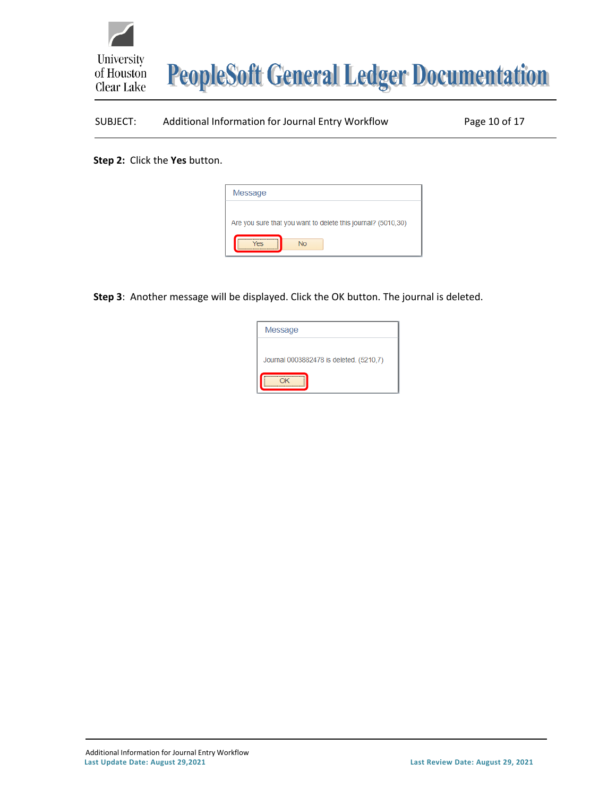

# SUBJECT: Additional Information for Journal Entry Workflow Page 10 of 17

**Step 2:** Click the **Yes** button.

| Message   |                                                              |
|-----------|--------------------------------------------------------------|
|           | Are you sure that you want to delete this journal? (5010,30) |
| <b>No</b> |                                                              |

**Step 3**: Another message will be displayed. Click the OK button. The journal is deleted.

| Message                                 |
|-----------------------------------------|
| Journal 0003882478 is deleted. (5210,7) |
|                                         |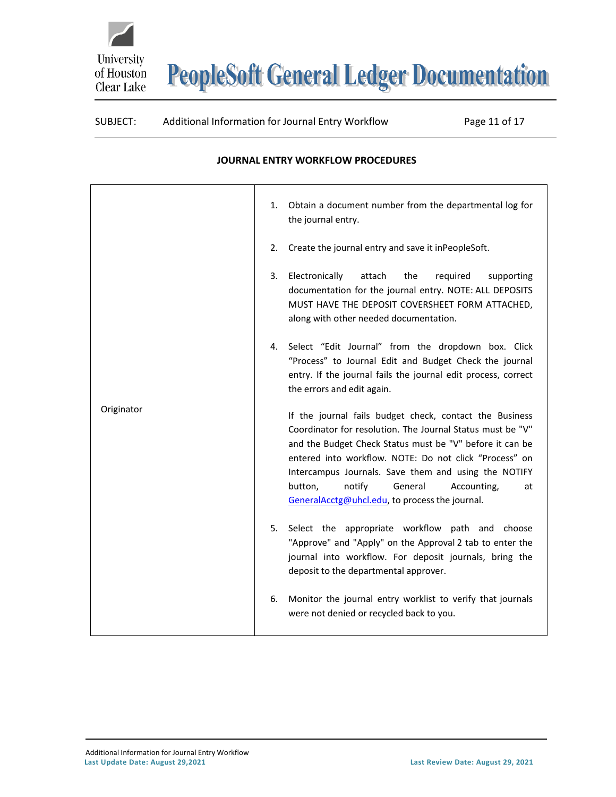

#### SUBJECT: Additional Information for Journal Entry Workflow Page 11 of 17

# <span id="page-10-0"></span>Originator 1. Obtain a document number from the departmental log for the journal entry. 2. Create the journal entry and save it inPeopleSoft. 3. Electronically attach the required supporting documentation for the journal entry. NOTE: ALL DEPOSITS MUST HAVE THE DEPOSIT COVERSHEET FORM ATTACHED, along with other needed documentation. 4. Select "Edit Journal" from the dropdown box. Click "Process" to Journal Edit and Budget Check the journal entry. If the journal fails the journal edit process, correct the errors and edit again. If the journal fails budget check, contact the Business Coordinator for resolution. The Journal Status must be "V" and the Budget Check Status must be "V" before it can be entered into workflow. NOTE: Do not click "Process" on Intercampus Journals. Save them and using the NOTIFY button, notify General Accounting, at [GeneralAcctg@uhcl.edu, t](mailto:GeneralAcctg@uhcl.edu)o process the journal. 5. Select the appropriate workflow path and choose "Approve" and "Apply" on the Approval 2 tab to enter the journal into workflow. For deposit journals, bring the deposit to the departmental approver. 6. Monitor the journal entry worklist to verify that journals were not denied or recycled back to you.

#### **JOURNAL ENTRY WORKFLOW PROCEDURES**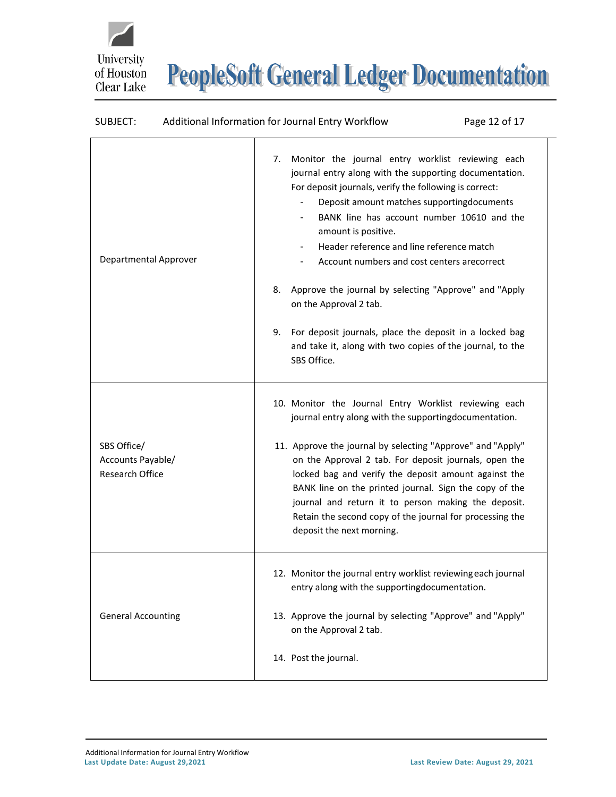## SUBJECT: Additional Information for Journal Entry Workflow Page 12 of 17

University<br>of Houston

Clear Lake

| Departmental Approver                                      | Monitor the journal entry worklist reviewing each<br>7.<br>journal entry along with the supporting documentation.<br>For deposit journals, verify the following is correct:<br>Deposit amount matches supportingdocuments<br>BANK line has account number 10610 and the<br>$\overline{\phantom{a}}$<br>amount is positive.<br>Header reference and line reference match<br>$\overline{\phantom{a}}$<br>Account numbers and cost centers arecorrect<br>Approve the journal by selecting "Approve" and "Apply<br>8.<br>on the Approval 2 tab.<br>For deposit journals, place the deposit in a locked bag<br>9.<br>and take it, along with two copies of the journal, to the<br>SBS Office. |
|------------------------------------------------------------|------------------------------------------------------------------------------------------------------------------------------------------------------------------------------------------------------------------------------------------------------------------------------------------------------------------------------------------------------------------------------------------------------------------------------------------------------------------------------------------------------------------------------------------------------------------------------------------------------------------------------------------------------------------------------------------|
| SBS Office/<br>Accounts Payable/<br><b>Research Office</b> | 10. Monitor the Journal Entry Worklist reviewing each<br>journal entry along with the supportingdocumentation.<br>11. Approve the journal by selecting "Approve" and "Apply"<br>on the Approval 2 tab. For deposit journals, open the<br>locked bag and verify the deposit amount against the<br>BANK line on the printed journal. Sign the copy of the<br>journal and return it to person making the deposit.<br>Retain the second copy of the journal for processing the<br>deposit the next morning.                                                                                                                                                                                  |
| <b>General Accounting</b>                                  | 12. Monitor the journal entry worklist reviewing each journal<br>entry along with the supportingdocumentation.<br>13. Approve the journal by selecting "Approve" and "Apply"<br>on the Approval 2 tab.<br>14. Post the journal.                                                                                                                                                                                                                                                                                                                                                                                                                                                          |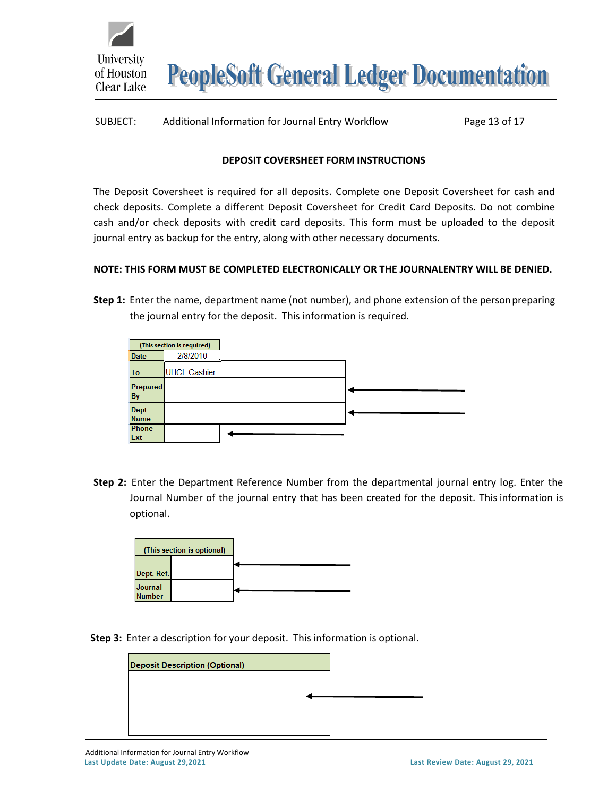| SUBJECT: | Additional Information for Journal Entry Workflow | Page 13 of 17 |
|----------|---------------------------------------------------|---------------|
|          |                                                   |               |

### **DEPOSIT COVERSHEET FORM INSTRUCTIONS**

<span id="page-12-0"></span>The Deposit Coversheet is required for all deposits. Complete one Deposit Coversheet for cash and check deposits. Complete a different Deposit Coversheet for Credit Card Deposits. Do not combine cash and/or check deposits with credit card deposits. This form must be uploaded to the deposit journal entry as backup for the entry, along with other necessary documents.

## **NOTE: THIS FORM MUST BE COMPLETED ELECTRONICALLY OR THE JOURNALENTRY WILL BE DENIED.**

**Step 1:** Enter the name, department name (not number), and phone extension of the personpreparing the journal entry for the deposit. This information is required.

|             | (This section is required) |  |
|-------------|----------------------------|--|
| <b>Date</b> | 2/8/2010                   |  |
| To          | <b>UHCL Cashier</b>        |  |
| Prepared    |                            |  |
| <b>By</b>   |                            |  |
| Dept        |                            |  |
| <b>Name</b> |                            |  |
| Phone       |                            |  |
| Ext         |                            |  |

**Step 2:** Enter the Department Reference Number from the departmental journal entry log. Enter the Journal Number of the journal entry that has been created for the deposit. This information is optional.



**Step 3:** Enter a description for your deposit. This information is optional.

| <b>Deposit Description (Optional)</b> |  |  |
|---------------------------------------|--|--|
|                                       |  |  |
|                                       |  |  |
|                                       |  |  |

**University** 

of Houston Clear Lake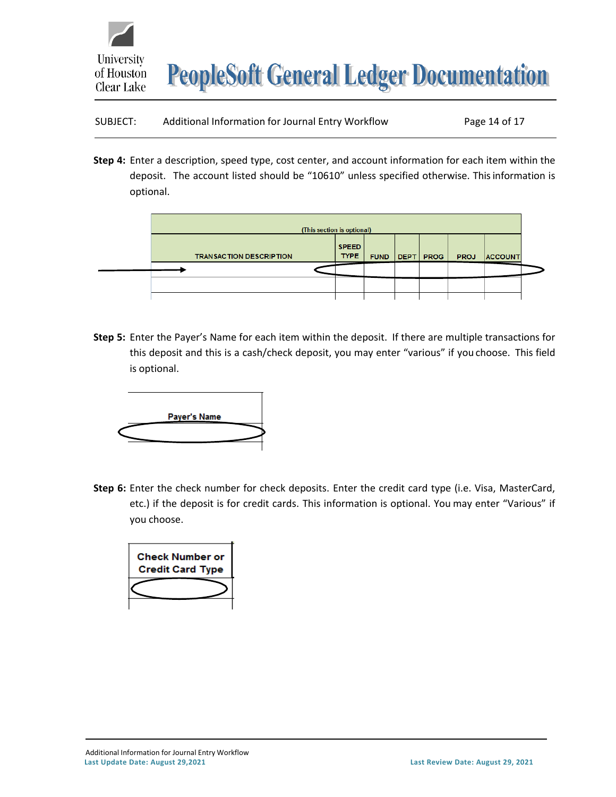

| SUBJECT: | Additional Information for Journal Entry Workflow |  | Page 14 of 17 |
|----------|---------------------------------------------------|--|---------------|
|----------|---------------------------------------------------|--|---------------|

**Step 4:** Enter a description, speed type, cost center, and account information for each item within the deposit. The account listed should be "10610" unless specified otherwise. Thisinformation is optional.

| (This section is optional)     |                             |             |      |             |             |                |  |
|--------------------------------|-----------------------------|-------------|------|-------------|-------------|----------------|--|
| <b>TRANSACTION DESCRIPTION</b> | <b>SPEED</b><br><b>TYPE</b> | <b>FUND</b> | DEPT | <b>PROG</b> | <b>PROJ</b> | <b>ACCOUNT</b> |  |
|                                |                             |             |      |             |             |                |  |
|                                |                             |             |      |             |             |                |  |
|                                |                             |             |      |             |             |                |  |

**Step 5:** Enter the Payer's Name for each item within the deposit. If there are multiple transactions for this deposit and this is a cash/check deposit, you may enter "various" if you choose. This field is optional.



**Step 6:** Enter the check number for check deposits. Enter the credit card type (i.e. Visa, MasterCard, etc.) if the deposit is for credit cards. This information is optional. You may enter "Various" if you choose.

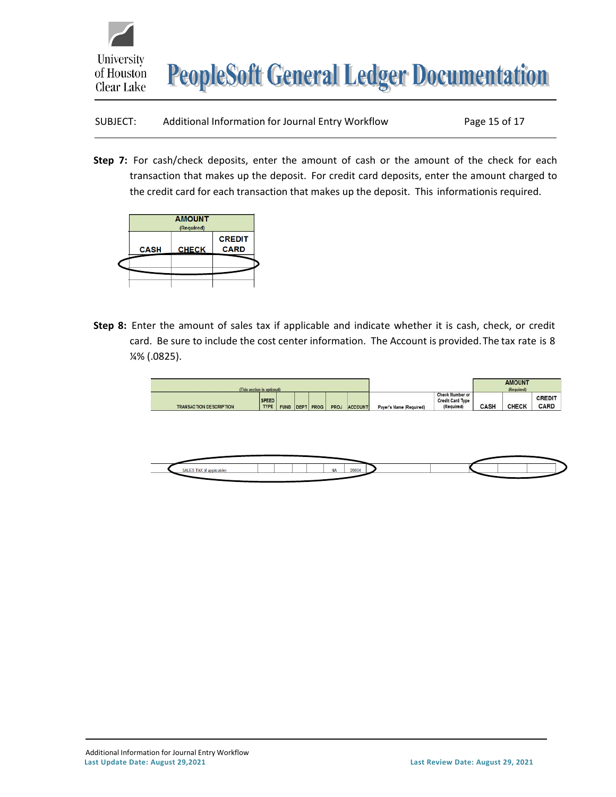

| SUBJECT: | Additional Information for Journal Entry Workflow | Page 15 of 17 |
|----------|---------------------------------------------------|---------------|
|----------|---------------------------------------------------|---------------|

**Step 7:** For cash/check deposits, enter the amount of cash or the amount of the check for each transaction that makes up the deposit. For credit card deposits, enter the amount charged to the credit card for each transaction that makes up the deposit. This informationis required.



**Step 8:** Enter the amount of sales tax if applicable and indicate whether it is cash, check, or credit card. Be sure to include the cost center information. The Account is provided.The tax rate is 8 ¼% (.0825).

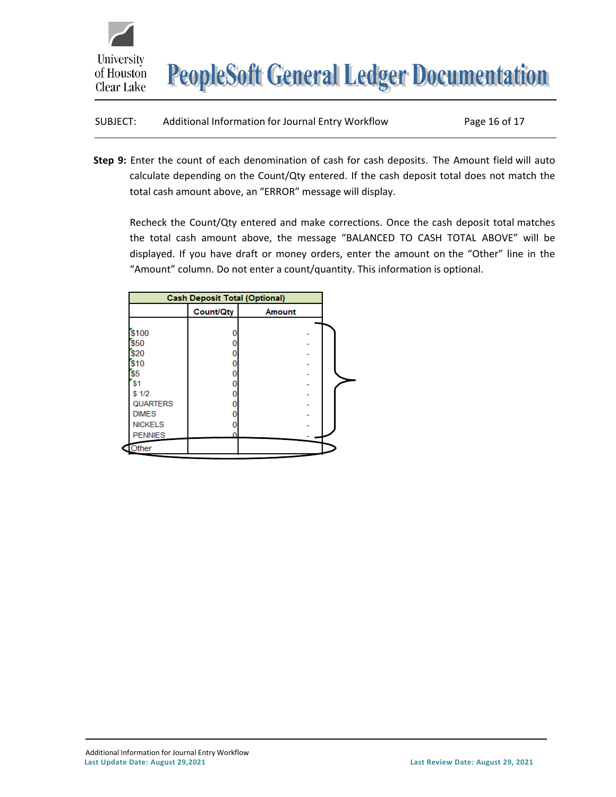

| SUBJECT: | Additional Information for Journal Entry Workflow | Page 16 of 17 |
|----------|---------------------------------------------------|---------------|
|----------|---------------------------------------------------|---------------|

**Step 9:** Enter the count of each denomination of cash for cash deposits. The Amount field will auto calculate depending on the Count/Qty entered. If the cash deposit total does not match the total cash amount above, an "ERROR" message will display.

Recheck the Count/Qty entered and make corrections. Once the cash deposit total matches the total cash amount above, the message "BALANCED TO CASH TOTAL ABOVE" will be displayed. If you have draft or money orders, enter the amount on the "Other" line in the "Amount" column. Do not enter a count/quantity. This information is optional.

|                 | <b>Cash Deposit Total (Optional)</b> |               |  |
|-----------------|--------------------------------------|---------------|--|
|                 | <b>Count/Qty</b>                     | <b>Amount</b> |  |
| \$100           |                                      |               |  |
| \$50            |                                      |               |  |
| \$20            |                                      |               |  |
| \$10            |                                      |               |  |
| S <sub>5</sub>  |                                      |               |  |
| s <sub>1</sub>  |                                      |               |  |
| \$1/2           |                                      |               |  |
| <b>QUARTERS</b> |                                      |               |  |
| <b>DIMES</b>    |                                      |               |  |
| <b>NICKELS</b>  |                                      |               |  |
| <b>PENNIES</b>  | n                                    |               |  |
| Other           |                                      |               |  |